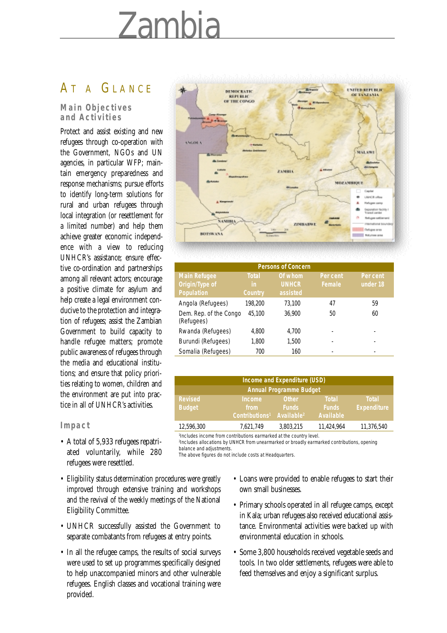# Zambia

## AT A GLANCE

#### **Main Objectives and Activities**

Protect and assist existing and new refugees through co-operation with the Government, NGOs and UN agencies, in particular WFP; maintain emergency preparedness and response mechanisms; pursue efforts to identify long-term solutions for rural and urban refugees through local integration (or resettlement for a limited number) and help them achieve greater economic independence with a view to reducing UNHCR's assistance; ensure effective co-ordination and partnerships among all relevant actors; encourage a positive climate for asylum and help create a legal environment conducive to the protection and integration of refugees; assist the Zambian Government to build capacity to handle refugee matters; promote public awareness of refugees through the media and educational institutions; and ensure that policy priorities relating to women, children and the environment are put into practice in all of UNHCR's activities.

#### **Impact**

- A total of 5,933 refugees repatriated voluntarily, while 280 refugees were resettled.
- Eligibility status determination procedures were greatly improved through extensive training and workshops and the revival of the weekly meetings of the National Eligibility Committee.
- UNHCR successfully assisted the Government to separate combatants from refugees at entry points.
- In all the refugee camps, the results of social surveys were used to set up programmes specifically designed to help unaccompanied minors and other vulnerable refugees. English classes and vocational training were provided.



| <b>Persons of Concern</b>            |                |              |          |          |  |  |  |  |  |
|--------------------------------------|----------------|--------------|----------|----------|--|--|--|--|--|
| <b>Main Refugee</b>                  | <b>Total</b>   | Of whom      | Per cent | Per cent |  |  |  |  |  |
| Origin/Type of                       | in             | <b>UNHCR</b> | Female   | under 18 |  |  |  |  |  |
| Population                           | <b>Country</b> | assisted     |          |          |  |  |  |  |  |
| Angola (Refugees)                    | 198,200        | 73,100       | 47       | 59       |  |  |  |  |  |
| Dem. Rep. of the Congo<br>(Refugees) | 45,100         | 36,900       | 50       | 60       |  |  |  |  |  |
| Rwanda (Refugees)                    | 4,800          | 4.700        |          |          |  |  |  |  |  |
| Burundi (Refugees)                   | 1,800          | 1,500        |          |          |  |  |  |  |  |
| Somalia (Refugees)                   | 700            | 160          |          |          |  |  |  |  |  |

| Income and Expenditure (USD)    |                                                     |                                                        |                                           |                                    |  |  |  |
|---------------------------------|-----------------------------------------------------|--------------------------------------------------------|-------------------------------------------|------------------------------------|--|--|--|
| <b>Annual Programme Budget</b>  |                                                     |                                                        |                                           |                                    |  |  |  |
| <b>Revised</b><br><b>Budget</b> | <b>Income</b><br>from<br>Contributions <sup>1</sup> | <b>Other</b><br><b>Funds</b><br>Available <sup>2</sup> | <b>Total</b><br><b>Funds</b><br>Available | <b>Total</b><br><b>Expenditure</b> |  |  |  |
| 12,596,300                      | 7,621,749                                           | 3,803,215                                              | 11,424,964                                | 11,376,540                         |  |  |  |

1 Includes income from contributions earmarked at the country level.

2 Includes allocations by UNHCR from unearmarked or broadly earmarked contributions, opening balance and adjustments.

The above figures do not include costs at Headquarters.

- Loans were provided to enable refugees to start their own small businesses.
- Primary schools operated in all refugee camps, except in Kala; urban refugees also received educational assistance. Environmental activities were backed up with environmental education in schools.
- Some 3,800 households received vegetable seeds and tools. In two older settlements, refugees were able to feed themselves and enjoy a significant surplus.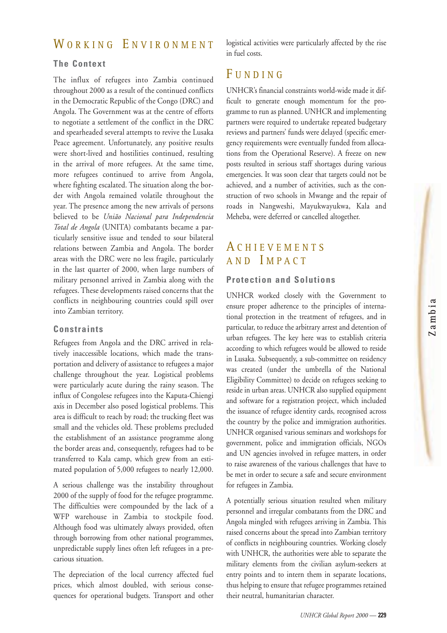## WORKING ENVIRONMENT

## **The Context**

The influx of refugees into Zambia continued throughout 2000 as a result of the continued conflicts in the Democratic Republic of the Congo (DRC) and Angola. The Government was at the centre of efforts to negotiate a settlement of the conflict in the DRC and spearheaded several attempts to revive the Lusaka Peace agreement. Unfortunately, any positive results were short-lived and hostilities continued, resulting in the arrival of more refugees. At the same time, more refugees continued to arrive from Angola, where fighting escalated. The situation along the border with Angola remained volatile throughout the year. The presence among the new arrivals of persons believed to be *União Nacional para Independencia Total de Angola* (UNITA) combatants became a particularly sensitive issue and tended to sour bilateral relations between Zambia and Angola. The border areas with the DRC were no less fragile, particularly in the last quarter of 2000, when large numbers of military personnel arrived in Zambia along with the refugees. These developments raised concerns that the conflicts in neighbouring countries could spill over into Zambian territory.

#### **Constraints**

Refugees from Angola and the DRC arrived in relatively inaccessible locations, which made the transportation and delivery of assistance to refugees a major challenge throughout the year. Logistical problems were particularly acute during the rainy season. The influx of Congolese refugees into the Kaputa-Chiengi axis in December also posed logistical problems. This area is difficult to reach by road; the trucking fleet was small and the vehicles old. These problems precluded the establishment of an assistance programme along the border areas and, consequently, refugees had to be transferred to Kala camp, which grew from an estimated population of 5,000 refugees to nearly 12,000.

A serious challenge was the instability throughout 2000 of the supply of food for the refugee programme. The difficulties were compounded by the lack of a WFP warehouse in Zambia to stockpile food. Although food was ultimately always provided, often through borrowing from other national programmes, unpredictable supply lines often left refugees in a precarious situation.

The depreciation of the local currency affected fuel prices, which almost doubled, with serious consequences for operational budgets. Transport and other logistical activities were particularly affected by the rise in fuel costs.

## **FUNDING**

UNHCR's financial constraints world-wide made it difficult to generate enough momentum for the programme to run as planned. UNHCR and implementing partners were required to undertake repeated budgetary reviews and partners' funds were delayed (specific emergency requirements were eventually funded from allocations from the Operational Reserve). A freeze on new posts resulted in serious staff shortages during various emergencies. It was soon clear that targets could not be achieved, and a number of activities, such as the construction of two schools in Mwange and the repair of roads in Nangweshi, Mayukwayukwa, Kala and Meheba, were deferred or cancelled altogether.

## A CHIEVEMENTS AND I MPACT

#### **Protection and Solutions**

UNHCR worked closely with the Government to ensure proper adherence to the principles of international protection in the treatment of refugees, and in particular, to reduce the arbitrary arrest and detention of urban refugees. The key here was to establish criteria according to which refugees would be allowed to reside in Lusaka. Subsequently, a sub-committee on residency was created (under the umbrella of the National Eligibility Committee) to decide on refugees seeking to reside in urban areas. UNHCR also supplied equipment and software for a registration project, which included the issuance of refugee identity cards, recognised across the country by the police and immigration authorities. UNHCR organised various seminars and workshops for government, police and immigration officials, NGOs and UN agencies involved in refugee matters, in order to raise awareness of the various challenges that have to be met in order to secure a safe and secure environment for refugees in Zambia.

A potentially serious situation resulted when military personnel and irregular combatants from the DRC and Angola mingled with refugees arriving in Zambia. This raised concerns about the spread into Zambian territory of conflicts in neighbouring countries. Working closely with UNHCR, the authorities were able to separate the military elements from the civilian asylum-seekers at entry points and to intern them in separate locations, thus helping to ensure that refugee programmes retained their neutral, humanitarian character.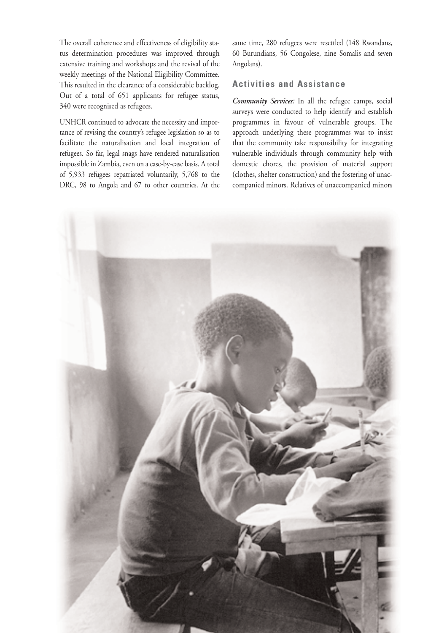The overall coherence and effectiveness of eligibility status determination procedures was improved through extensive training and workshops and the revival of the weekly meetings of the National Eligibility Committee. This resulted in the clearance of a considerable backlog. Out of a total of 651 applicants for refugee status, 340 were recognised as refugees.

UNHCR continued to advocate the necessity and importance of revising the country's refugee legislation so as to facilitate the naturalisation and local integration of refugees. So far, legal snags have rendered naturalisation impossible in Zambia, even on a case-by-case basis. A total of 5,933 refugees repatriated voluntarily, 5,768 to the DRC, 98 to Angola and 67 to other countries. At the

same time, 280 refugees were resettled (148 Rwandans, 60 Burundians, 56 Congolese, nine Somalis and seven Angolans).

## **Activities and Assistance**

*Community Services:* In all the refugee camps, social surveys were conducted to help identify and establish programmes in favour of vulnerable groups. The approach underlying these programmes was to insist that the community take responsibility for integrating vulnerable individuals through community help with domestic chores, the provision of material support (clothes, shelter construction) and the fostering of unaccompanied minors. Relatives of unaccompanied minors

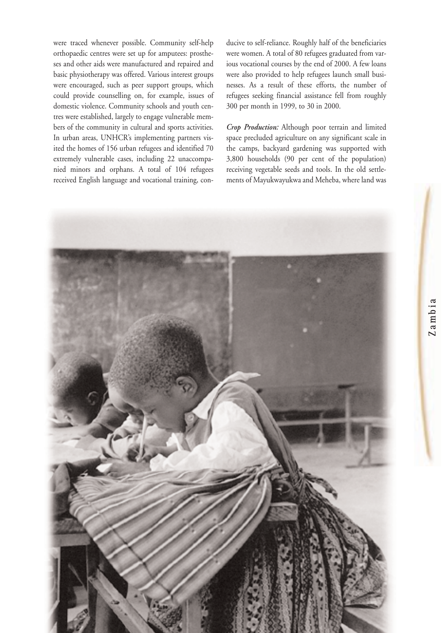were traced whenever possible. Community self-help orthopaedic centres were set up for amputees: prostheses and other aids were manufactured and repaired and basic physiotherapy was offered. Various interest groups were encouraged, such as peer support groups, which could provide counselling on, for example, issues of domestic violence. Community schools and youth centres were established, largely to engage vulnerable members of the community in cultural and sports activities. In urban areas, UNHCR's implementing partners visited the homes of 156 urban refugees and identified 70 extremely vulnerable cases, including 22 unaccompanied minors and orphans. A total of 104 refugees received English language and vocational training, conducive to self-reliance. Roughly half of the beneficiaries were women. A total of 80 refugees graduated from various vocational courses by the end of 2000. A few loans were also provided to help refugees launch small businesses. As a result of these efforts, the number of refugees seeking financial assistance fell from roughly 300 per month in 1999, to 30 in 2000.

*Crop Production:* Although poor terrain and limited space precluded agriculture on any significant scale in the camps, backyard gardening was supported with 3,800 households (90 per cent of the population) receiving vegetable seeds and tools. In the old settlements of Mayukwayukwa and Meheba, where land was

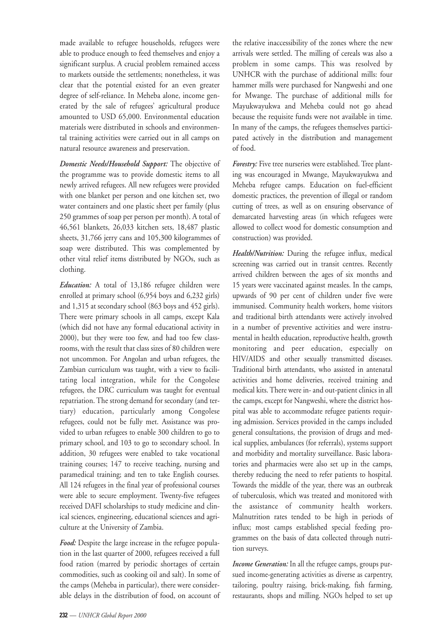made available to refugee households, refugees were able to produce enough to feed themselves and enjoy a significant surplus. A crucial problem remained access to markets outside the settlements; nonetheless, it was clear that the potential existed for an even greater degree of self-reliance. In Meheba alone, income generated by the sale of refugees' agricultural produce amounted to USD 65,000. Environmental education materials were distributed in schools and environmental training activities were carried out in all camps on natural resource awareness and preservation.

*Domestic Needs/Household Support:* The objective of the programme was to provide domestic items to all newly arrived refugees. All new refugees were provided with one blanket per person and one kitchen set, two water containers and one plastic sheet per family (plus 250 grammes of soap per person per month). A total of 46,561 blankets, 26,033 kitchen sets, 18,487 plastic sheets, 31,766 jerry cans and 105,300 kilogrammes of soap were distributed. This was complemented by other vital relief items distributed by NGOs, such as clothing.

*Education:* A total of 13,186 refugee children were enrolled at primary school (6,954 boys and 6,232 girls) and 1,315 at secondary school (863 boys and 452 girls). There were primary schools in all camps, except Kala (which did not have any formal educational activity in 2000), but they were too few, and had too few classrooms, with the result that class sizes of 80 children were not uncommon. For Angolan and urban refugees, the Zambian curriculum was taught, with a view to facilitating local integration, while for the Congolese refugees, the DRC curriculum was taught for eventual repatriation. The strong demand for secondary (and tertiary) education, particularly among Congolese refugees, could not be fully met. Assistance was provided to urban refugees to enable 300 children to go to primary school, and 103 to go to secondary school. In addition, 30 refugees were enabled to take vocational training courses; 147 to receive teaching, nursing and paramedical training; and ten to take English courses. All 124 refugees in the final year of professional courses were able to secure employment. Twenty-five refugees received DAFI scholarships to study medicine and clinical sciences, engineering, educational sciences and agriculture at the University of Zambia.

*Food:* Despite the large increase in the refugee population in the last quarter of 2000, refugees received a full food ration (marred by periodic shortages of certain commodities, such as cooking oil and salt). In some of the camps (Meheba in particular), there were considerable delays in the distribution of food, on account of

the relative inaccessibility of the zones where the new arrivals were settled. The milling of cereals was also a problem in some camps. This was resolved by UNHCR with the purchase of additional mills: four hammer mills were purchased for Nangweshi and one for Mwange. The purchase of additional mills for Mayukwayukwa and Meheba could not go ahead because the requisite funds were not available in time. In many of the camps, the refugees themselves participated actively in the distribution and management of food.

*Forestry:* Five tree nurseries were established. Tree planting was encouraged in Mwange, Mayukwayukwa and Meheba refugee camps. Education on fuel-efficient domestic practices, the prevention of illegal or random cutting of trees, as well as on ensuring observance of demarcated harvesting areas (in which refugees were allowed to collect wood for domestic consumption and construction) was provided.

*Health/Nutrition:* During the refugee influx, medical screening was carried out in transit centres. Recently arrived children between the ages of six months and 15 years were vaccinated against measles. In the camps, upwards of 90 per cent of children under five were immunised. Community health workers, home visitors and traditional birth attendants were actively involved in a number of preventive activities and were instrumental in health education, reproductive health, growth monitoring and peer education, especially on HIV/AIDS and other sexually transmitted diseases. Traditional birth attendants, who assisted in antenatal activities and home deliveries, received training and medical kits. There were in- and out-patient clinics in all the camps, except for Nangweshi, where the district hospital was able to accommodate refugee patients requiring admission. Services provided in the camps included general consultations, the provision of drugs and medical supplies, ambulances (for referrals), systems support and morbidity and mortality surveillance. Basic laboratories and pharmacies were also set up in the camps, thereby reducing the need to refer patients to hospital. Towards the middle of the year, there was an outbreak of tuberculosis, which was treated and monitored with the assistance of community health workers. Malnutrition rates tended to be high in periods of influx; most camps established special feeding programmes on the basis of data collected through nutrition surveys.

*Income Generation:* In all the refugee camps, groups pursued income-generating activities as diverse as carpentry, tailoring, poultry raising, brick-making, fish farming, restaurants, shops and milling. NGOs helped to set up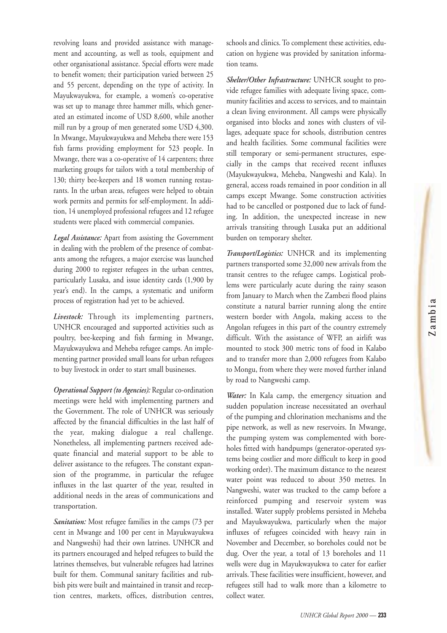revolving loans and provided assistance with management and accounting, as well as tools, equipment and other organisational assistance. Special efforts were made to benefit women; their participation varied between 25 and 55 percent, depending on the type of activity. In Mayukwayukwa, for example, a women's co-operative was set up to manage three hammer mills, which generated an estimated income of USD 8,600, while another mill run by a group of men generated some USD 4,300. In Mwange, Mayukwayukwa and Meheba there were 153 fish farms providing employment for 523 people. In Mwange, there was a co-operative of 14 carpenters; three marketing groups for tailors with a total membership of 130; thirty bee-keepers and 18 women running restaurants. In the urban areas, refugees were helped to obtain work permits and permits for self-employment. In addition, 14 unemployed professional refugees and 12 refugee students were placed with commercial companies.

*Legal Assistance:* Apart from assisting the Government in dealing with the problem of the presence of combatants among the refugees, a major exercise was launched during 2000 to register refugees in the urban centres, particularly Lusaka, and issue identity cards (1,900 by year's end). In the camps, a systematic and uniform process of registration had yet to be achieved.

*Livestock:* Through its implementing partners, UNHCR encouraged and supported activities such as poultry, bee-keeping and fish farming in Mwange, Mayukwayukwa and Meheba refugee camps. An implementing partner provided small loans for urban refugees to buy livestock in order to start small businesses.

*Operational Support (to Agencies):* Regular co-ordination meetings were held with implementing partners and the Government. The role of UNHCR was seriously affected by the financial difficulties in the last half of the year, making dialogue a real challenge. Nonetheless, all implementing partners received adequate financial and material support to be able to deliver assistance to the refugees. The constant expansion of the programme, in particular the refugee influxes in the last quarter of the year, resulted in additional needs in the areas of communications and transportation.

*Sanitation:* Most refugee families in the camps (73 per cent in Mwange and 100 per cent in Mayukwayukwa and Nangweshi) had their own latrines. UNHCR and its partners encouraged and helped refugees to build the latrines themselves, but vulnerable refugees had latrines built for them. Communal sanitary facilities and rubbish pits were built and maintained in transit and reception centres, markets, offices, distribution centres, schools and clinics. To complement these activities, education on hygiene was provided by sanitation information teams.

*Shelter/Other Infrastructure:* UNHCR sought to provide refugee families with adequate living space, community facilities and access to services, and to maintain a clean living environment. All camps were physically organised into blocks and zones with clusters of villages, adequate space for schools, distribution centres and health facilities. Some communal facilities were still temporary or semi-permanent structures, especially in the camps that received recent influxes (Mayukwayukwa, Meheba, Nangweshi and Kala). In general, access roads remained in poor condition in all camps except Mwange. Some construction activities had to be cancelled or postponed due to lack of funding. In addition, the unexpected increase in new arrivals transiting through Lusaka put an additional burden on temporary shelter.

*Transport/Logistics:* UNHCR and its implementing partners transported some 32,000 new arrivals from the transit centres to the refugee camps. Logistical problems were particularly acute during the rainy season from January to March when the Zambezi flood plains constitute a natural barrier running along the entire western border with Angola, making access to the Angolan refugees in this part of the country extremely difficult. With the assistance of WFP, an airlift was mounted to stock 300 metric tons of food in Kalabo and to transfer more than 2,000 refugees from Kalabo to Mongu, from where they were moved further inland by road to Nangweshi camp.

*Water:* In Kala camp, the emergency situation and sudden population increase necessitated an overhaul of the pumping and chlorination mechanisms and the pipe network, as well as new reservoirs. In Mwange, the pumping system was complemented with boreholes fitted with handpumps (generator-operated systems being costlier and more difficult to keep in good working order). The maximum distance to the nearest water point was reduced to about 350 metres. In Nangweshi, water was trucked to the camp before a reinforced pumping and reservoir system was installed. Water supply problems persisted in Meheba and Mayukwayukwa, particularly when the major influxes of refugees coincided with heavy rain in November and December, so boreholes could not be dug. Over the year, a total of 13 boreholes and 11 wells were dug in Mayukwayukwa to cater for earlier arrivals. These facilities were insufficient, however, and refugees still had to walk more than a kilometre to collect water.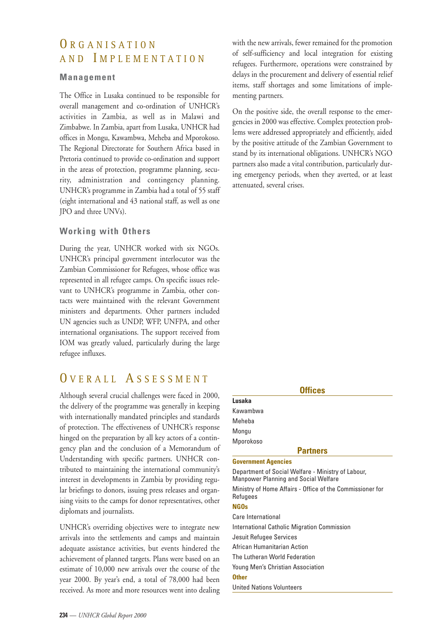## ORGANISATION AND I MPLEMENTATION

#### **Management**

The Office in Lusaka continued to be responsible for overall management and co-ordination of UNHCR's activities in Zambia, as well as in Malawi and Zimbabwe. In Zambia, apart from Lusaka, UNHCR had offices in Mongu, Kawambwa, Meheba and Mporokoso. The Regional Directorate for Southern Africa based in Pretoria continued to provide co-ordination and support in the areas of protection, programme planning, security, administration and contingency planning. UNHCR's programme in Zambia had a total of 55 staff (eight international and 43 national staff, as well as one JPO and three UNVs).

## **Working with Others**

During the year, UNHCR worked with six NGOs. UNHCR's principal government interlocutor was the Zambian Commissioner for Refugees, whose office was represented in all refugee camps. On specific issues relevant to UNHCR's programme in Zambia, other contacts were maintained with the relevant Government ministers and departments. Other partners included UN agencies such as UNDP, WFP, UNFPA, and other international organisations. The support received from IOM was greatly valued, particularly during the large refugee influxes.

## O VERALL A SSESSMENT

Although several crucial challenges were faced in 2000, the delivery of the programme was generally in keeping with internationally mandated principles and standards of protection. The effectiveness of UNHCR's response hinged on the preparation by all key actors of a contingency plan and the conclusion of a Memorandum of Understanding with specific partners. UNHCR contributed to maintaining the international community's interest in developments in Zambia by providing regular briefings to donors, issuing press releases and organising visits to the camps for donor representatives, other diplomats and journalists.

UNHCR's overriding objectives were to integrate new arrivals into the settlements and camps and maintain adequate assistance activities, but events hindered the achievement of planned targets. Plans were based on an estimate of 10,000 new arrivals over the course of the year 2000. By year's end, a total of 78,000 had been received. As more and more resources went into dealing with the new arrivals, fewer remained for the promotion of self-sufficiency and local integration for existing refugees. Furthermore, operations were constrained by delays in the procurement and delivery of essential relief items, staff shortages and some limitations of implementing partners.

On the positive side, the overall response to the emergencies in 2000 was effective. Complex protection problems were addressed appropriately and efficiently, aided by the positive attitude of the Zambian Government to stand by its international obligations. UNHCR's NGO partners also made a vital contribution, particularly during emergency periods, when they averted, or at least attenuated, several crises.

| <b>Offices</b>                                                                                    |  |  |  |  |
|---------------------------------------------------------------------------------------------------|--|--|--|--|
| Lusaka                                                                                            |  |  |  |  |
| Kawambwa                                                                                          |  |  |  |  |
| Meheba                                                                                            |  |  |  |  |
| Mongu                                                                                             |  |  |  |  |
| Mporokoso                                                                                         |  |  |  |  |
| <b>Partners</b>                                                                                   |  |  |  |  |
| <b>Government Agencies</b>                                                                        |  |  |  |  |
| Department of Social Welfare - Ministry of Labour,<br><b>Manpower Planning and Social Welfare</b> |  |  |  |  |
| Ministry of Home Affairs - Office of the Commissioner for<br>Refugees                             |  |  |  |  |
| <b>NGOs</b>                                                                                       |  |  |  |  |
| Care International                                                                                |  |  |  |  |
| International Catholic Migration Commission                                                       |  |  |  |  |
| Jesuit Refugee Services                                                                           |  |  |  |  |
| African Humanitarian Action                                                                       |  |  |  |  |
| The Lutheran World Federation                                                                     |  |  |  |  |
| Young Men's Christian Association                                                                 |  |  |  |  |
| <b>Other</b>                                                                                      |  |  |  |  |
| <b>United Nations Volunteers</b>                                                                  |  |  |  |  |